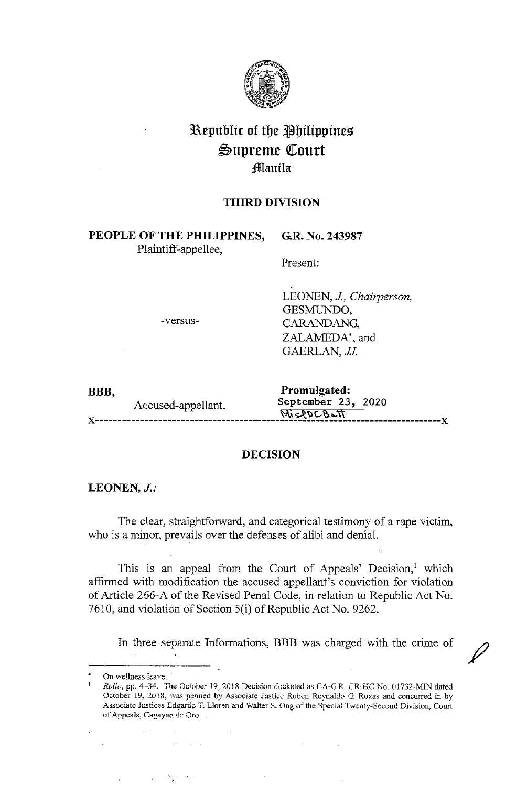

# **l\epublic of tbe ~bilippines**   $\mathfrak{Supreme}$  Court **:ffianila**

# **THIRD DIVISION**

**PEOPLE OF THE PHILIPPINES,**  Plaintiff-appellee,

Present:

**GR. No. 243987** 

-versus-

LEONEN, *J, Chairperson,*  GESMUNDO, CARANDANG, ZALAMEDA\*, and GAERLAN, *JJ.* 

| BBB, |                    | Promulgated:       |
|------|--------------------|--------------------|
|      | Accused-appellant. | September 23, 2020 |
|      |                    |                    |

# **DECISION**

### **LEONEN,** *J.:*

The clear, straightforward, and categorical testimony of a rape victim, who is a minor, prevails over the defenses of alibi and denial.

This is an appeal from the Court of Appeals' Decision, $<sup>1</sup>$  which</sup> affirmed with modification the accused-appellant's conviction for violation of Article 266-A of the Revised Penal Code, in relation to Republic Act No. 7610, and violation of Section 5(i) of Republic Act No. 9262.

In three separate Informations, BBB was charged with the crime of

 $\mathcal{F}_{\rm{in}}$ 

 $\bar{\nu}$  .

 $\mathcal{L} = \mathcal{L}$ 

**On we!lness** leave. ·

*Rollo,* pp. 4-34. *The* October 19, 2018 Decision docketed as CA-G.R. CR-HC No. 01732-MIN dated **October J. 9, 2018, was penned by Associate Justice Ruben Reynaldo G. Roxas and concurred in by**  Associate Justices Edgardo T. Lloren and Walter S. Ong of the Special Twenty-Second Division, Court of Appeals, Cagayan de Oro. .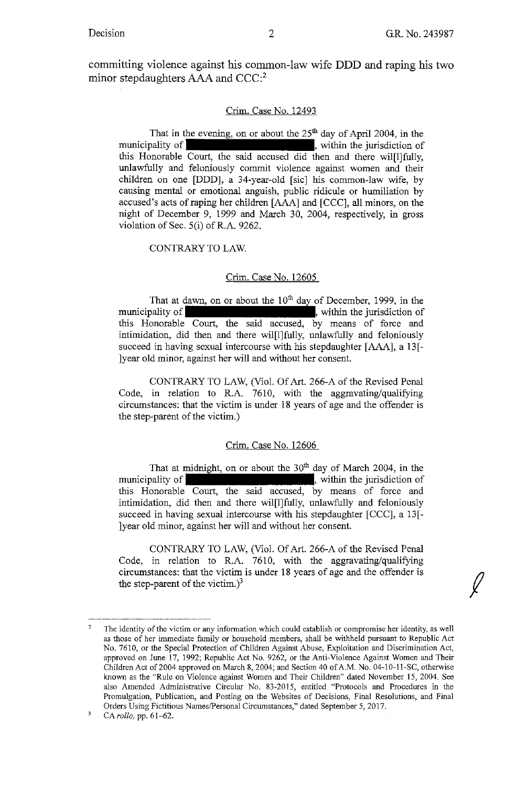$\int$ 

committing violence against his common-law wife **DDD** and raping his two minor stepdaughters AAA and CCC:<sup>2</sup>

#### Crim. Case No. 12493

That in the evening, on or about the 25<sup>th</sup> day of April 2004, in the municipality of  $\blacksquare$ , within the jurisdiction of this Honorable Court, the said accused did then and there wil[l]fully, unlawfully and feloniously commit violence against women and their children on one [DDD], a 34-year-old [sic] his common-law wife, by causing mental or emotional anguish, public ridicule or humiliation by accused's acts of raping her children [AAA] and [CCC], all minors, on the night of December 9, 1999 and March 30, 2004, respectively, in gross violation of Sec. 5(i) of R.A. 9262.

#### CONTRARY TO LAW.

#### Crim. Case No. 12605

That at dawn, on or about the  $10<sup>th</sup>$  day of December, 1999, in the municipality of  $\blacksquare$ , within the jurisdiction of this Honorable Court, the said accused, by means of force and intimidation, did then and there wil[l]fully, unlawfully and feloniously succeed in having sexual intercourse with his stepdaughter [AAA], a 13<sup>[-</sup> ]year old minor, against her will and without her consent.

CONTRARY TO LAW, (Viol. Of Art. 266-A of the Revised Penal Code, in relation to R.A. 7610, with the aggravating/qualifying circumstances: that the victim is under 18 years of age and the offender is the step-parent of the victim.)

#### Crim. Case No. 12606

That at midnight, on or about the  $30<sup>th</sup>$  day of March 2004, in the municipality of **the contract of the intervals**, within the jurisdiction of this Honorable Court, the said accused, by means of force and intimidation, did then and there wil[l]fully, unlawfully and feloniously succeed in having sexual intercourse with his stepdaughter  $[CCC]$ , a 13 $[-$ ]year old minor, against her will and without her consent.

CONTRARY TO LAW, (Viol. Of Art. 266-A of the Revised Penal Code, in relation to R.A. 7610, with the aggravating/qualifying circumstances: that the victim is under 18 years of age and the offender is the step-parent of the victim.)<sup>3</sup>

<sup>2</sup>  **The identity of the victim or any information which could establish or compromise her identity, as well**  as those of her immediate family or household members, shall be withheld pursuant to Republic Act No. 7610, or the Special Protection of Children Against Abuse, Exploitation and Discrimination Act, approved on June 17, 1992; Republic Act No. 9262, or the Anti-Violence Against Women and Their Children Act of 2004 approved on March 8, 2004; and Section 40 of A.M. No. 04-10-11-SC, otherwise known as the "Rule on Violence against Women and Their Children" dated November 15, 2004. See also Amended Administrative Circular No. 83-2015, entitled "Protocols and Procedures in the **Promulgation, Publication, and Posting on the Websites of Decisions, Final Resolutions, and Final**  Orders Using Fictitious Names/Personal Circumstances," dated September 5, 2017.

<sup>3</sup>  CA *rollo*, pp. 61-62.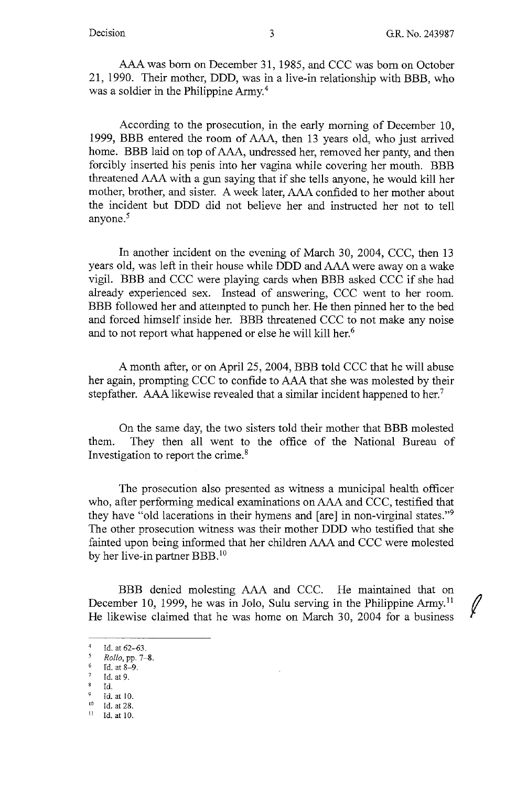AAA was born on December 31, 1985, and CCC was born on October 21, 1990. Their mother, DDD, was in a live-in relationship with BBB, who was a soldier in the Philippine Army.<sup>4</sup>

According to the prosecution, in the early morning of December 10, 1999, BBB entered the room of AAA, then 13 years old, who just arrived home. BBB laid on top of AAA, undressed her, removed her panty, and then forcibly inserted his penis into her vagina while covering her mouth. BBB threatened AAA with a gun saying that if she tells anyone, he would kill her mother, brother, and sister. A week later, AAA confided to her mother about the incident but DDD did not believe her and instructed her not to tell anyone.<sup>5</sup>

In another incident on the evening of March 30, 2004, CCC, then 13 years old, was left in their house while DDD and AAA were away on a wake vigil. BBB and CCC were playing cards when BBB asked CCC if she had already experienced sex. Instead of answering, CCC went to her room. BBB followed her and attempted to punch her. He then pinned her to the bed and forced himself inside her. BBB threatened CCC to not make any noise and to not report what happened or else he will kill her.<sup>6</sup>

A month after, or on April 25, 2004, **BBB** told CCC that he will abuse her again, prompting CCC to confide to AAA that she was molested by their stepfather. AAA likewise revealed that a similar incident happened to her.<sup>7</sup>

On the same day, the two sisters told their mother that BBB molested them. They then all went to the office of the National Bureau of Investigation to report the crime. <sup>8</sup>

The prosecution also presented as witness a municipal health officer who, after performing medical examinations on AAA and CCC, testified that they have "old lacerations in their hymens and [are] in non-virginal states."<sup>9</sup> The other prosecution witness was their mother DDD who testified that she fainted upon being informed that her children AAA and CCC were molested by her live-in partner BBB.<sup>10</sup>

**BBB** denied molesting AAA and CCC. He maintained that on December 10, 1999, he was in Jolo, Sulu serving in the Philippine Army.<sup>11</sup> He likewise claimed that he was home on March 30, 2004 for a business

<sup>&</sup>lt;sup>4</sup> Id. at  $62-63$ .<br> $\frac{5}{2}$  Pollo pp. 7.

*Rollo*, pp. 7-8.

<sup>6</sup> Id. at 8-9.

<sup>7</sup> Id. at 9.

Id.

<sup>&</sup>lt;sup>9</sup> Id. at 10.<br><sup>10</sup> Id. at 28.<br><sup>11</sup> Id. at 10.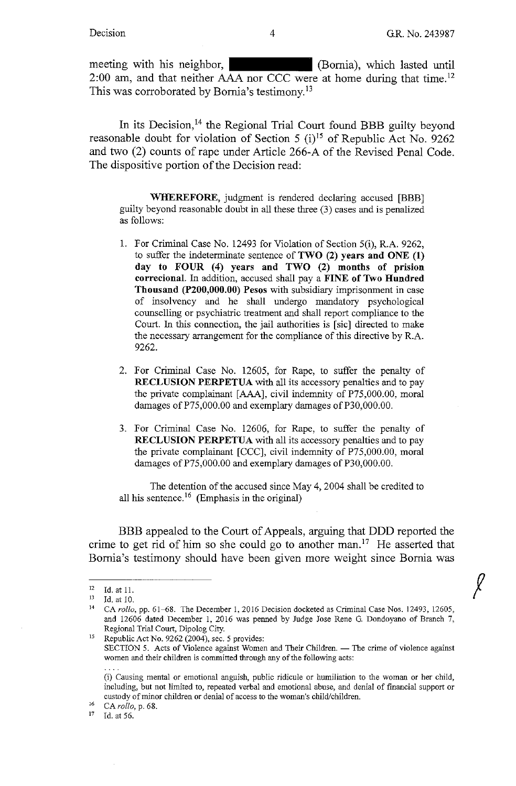$\int$ 

meeting with his neighbor, (Bornia), which lasted until 2:00 am, and that neither AAA nor CCC were at home during that time.<sup>12</sup> This was corroborated by Bornia's testimony.<sup>13</sup>

In its Decision, 14 the Regional Trial Court found **BBB** guilty beyond reasonable doubt for violation of Section 5 (i)<sup>15</sup> of Republic Act No. 9262 and two (2) counts of rape under Article 266-A of the Revised Penal Code. The dispositive portion of the Decision read:

**WHEREFORE,** judgment is tendered declaring accused [BBB] guilty beyond reasonable doubt in all these three (3) cases and is penalized as follows:

- 1. For Criminal Case No. 12493 for Violation of Section 5(i), R.A. 9262, to suffer the indeterminate sentence of **TWO (2) years and ONE (1) day to FOUR (4) years and TWO (2) months of prision correcional.** In addition, accused shall pay a **FINE of Two Hundred Thousand (P200,000.00) Pesos** with subsidiary imprisonment in case of insolvency and he shall undergo mandatory psychological counselling or psychiatric treatment and shall report compliance to the Court. In this connection, the jail authorities is [sic] directed to make the necessary arrangement for the compliance of this directive by R.A. 9262.
- 2. For Criminal Case No. 12605, for Rape, to suffer the penalty of **RECLUSION PERPETUA** with all its accessory penalties and to pay the private complainant [AAA], civil indemnity of P75,000.00, moral damages of P75,000.00 and exemplary damages of P30,000.00.
- 3. For Criminal Case No. 12606, for Rape, to suffer the penalty of **RECLUSION PERPETUA** with all its accessory penalties and to pay the private complainant [CCC], civil indemnity of P75,000.00, moral damages of P75,000.00 and exemplary damages of P30,000.00.

The detention of the accused since May 4, 2004 shall be credited to all his sentence.<sup>16</sup> (Emphasis in the original)

BBB appealed to the Court of Appeals, arguing that DDD reported the crime to get rid of him so she could go to another man.<sup>17</sup> He asserted that Bomia's testimony should have been given more weight since Bomia was

16 CA *rollo,* p. 68.

1d. at 56.

<sup>12</sup> Id. at 11.<br><sup>13</sup> Id. at 10.<br><sup>14</sup> CA *rollo*, pp. 61–68. The December 1, 2016 Decision docketed as Criminal Case Nos. 12493, 12605, and 12606 dated December I, 2016 was penned by Judge Jose Rene G. Dondoyano of Branch 7,

Regional Trial Court, Dipolog City.<br>Republic Act No. 9262 (2004), sec. 5 provides: SECTION 5. Acts of Violence against Women and Their Children. - The crime of violence against women and their children is committed through any of the following acts:

<sup>(</sup>i) Causing mental or emotional anguish, public ridicule or humiliation to the woman or her child, including, but not limited to, repeated verbal and emotional abuse, and denial of financial support or custody of minor children or denial of access to the woman's child/children.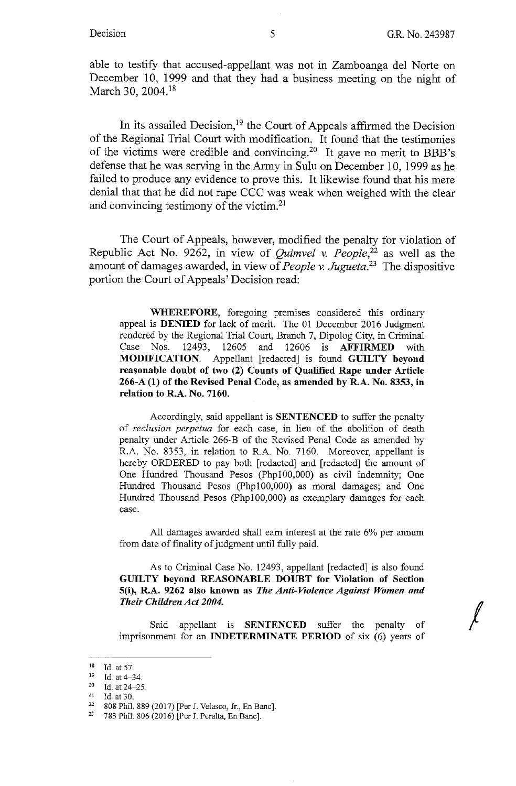*I* 

able to testify that accused-appellant was not in Zamboanga del Norte on December 10, 1999 and that they had a business meeting on the night of March 30, 2004.<sup>18</sup>

In its assailed Decision, 19 the Court of Appeals affirmed the Decision of the Regional Trial Court with modification. It found that the testimonies of the victims were credible and convincing.20 It gave no merit to BBB's defense that he was serving in the Army in Sulu on December 10, 1999 as he failed to produce any evidence to prove this. It likewise found that his mere denial that that he did not rape CCC was weak when weighed with the clear and convincing testimony of the victim.<sup>21</sup>

The Court of Appeals, however, modified the penalty for violation of Republic Act No. 9262, in view of *Quimvel v. People,22* as well as the amount of damages awarded, in view of *People v. Jugueta*.<sup>23</sup> The dispositive portion the Court of Appeals' Decision read:

**WHEREFORE,** foregoing premises considered this ordinary appeal is **DENIED** for lack of merit. The 01 December 2016 Judgment rendered by the Regional Trial Court, Branch 7, Dipolog City, in Criminal Case Nos. 12493, 12605 and 12606 is **AFFIRMED** with **MODIFICATION.** Appellant [redacted] is found **GUILTY beyond reasonable doubt of two (2) Counts of Qualified Rape under Article 266-A (1) of the Revised Penal Code, as amended by R.A. No. 8353, in relation to R.A. No. 7160.** 

Accordingly, said appellant is **SENTENCED** to suffer the penalty of *reclusion perpetua* for each case, in lieu of the abolition of death penalty under Article 266-B of the Revised Penal Code as amended by R.A. No. 8353, in relation to R.A. No. 7160. Moreover, appellant is hereby ORDERED to pay both [redacted] and [redacted] the amount of One Hundred Thousand Pesos (Phpl00,000) as civil indemnity; One Hundred Thousand Pesos (Phpl00,000) as moral damages; and One Hundred Thousand Pesos (Phpl00,000) as exemplary damages for each case.

All damages awarded shall earn interest at the rate 6% per annum from date of finality of judgment until fully paid.

As to Criminal Case No. 12493, appellant [redacted] is also found **GUILTY beyond REASONABLE DOUBT for Violation of Section 5(i), R.A. 9262 also known as** *The Anti-Violence Against Women and Their Children Act 2004.* 

Said appellant is **SENTENCED** suffer the penalty of imprisonment for an **INDETERMINATE PERIOD** of six (6) years of

<sup>&</sup>lt;sup>18</sup> Id. at 57.<br><sup>19</sup> Id. at 4-34.

 $\frac{20}{21}$  Id. at 24-25.<br>  $\frac{21}{22}$  Id. at 30.

<sup>22</sup>808 Phil. 889 (2017) [Per J. Velasco, Jr., En Banc]. 23 783 Phil. 806 (2016) [Per J. Peralta, En Banc].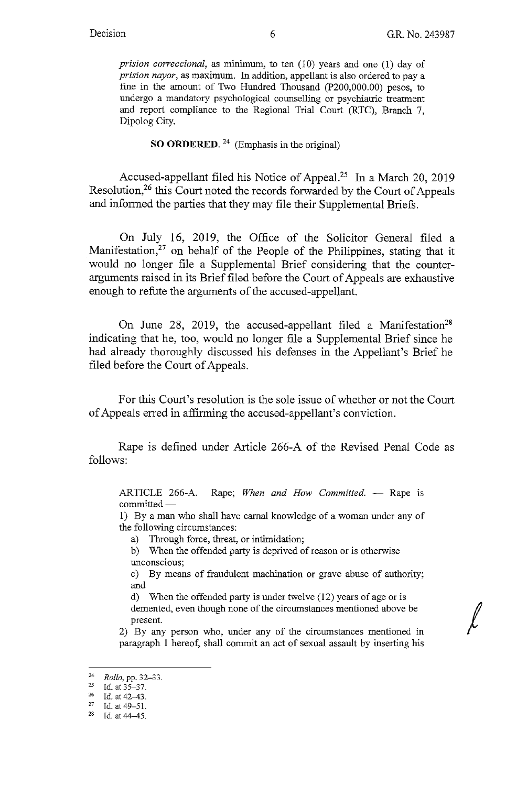*prision correccional,* as minimum, to ten (10) years and one (1) day of *prision nayor,* as maximum. In addition, appellant is also ordered to pay a fine in the amount of Two Hundred Thousand (P200,000.00) pesos, to undergo a mandatory psychological counselling or psychiatric treatment and report compliance to the Regional Trial Court (RTC), Branch 7, Dipolog City.

# **SO ORDERED.** 24 (Emphasis in the original)

Accused-appellant filed his Notice of Appeal.<sup>25</sup> In a March 20, 2019 Resolution,26 this Court noted the records forwarded by the Court of Appeals and informed the parties that they may file their Supplemental Briefs.

On July 16, 2019, the Office of the Solicitor General filed a Manifestation,<sup>27</sup> on behalf of the People of the Philippines, stating that it would no longer file a Supplemental Brief considering that the counterarguments raised in its Brief filed before the Court of Appeals are exhaustive enough to refute the arguments of the accused-appellant.

On June 28, 2019, the accused-appellant filed a Manifestation<sup>28</sup> indicating that he, too, would no longer file a Supplemental Brief since he had already thoroughly discussed his defenses in the Appellant's Brief he filed before the Court of Appeals.

For this Court's resolution is the sole issue of whether or not the Court of Appeals erred in affirming the accused-appellant's conviction.

Rape is defined under Article 266-A of the Revised Penal Code as follows:

ARTICLE 266-A. Rape; When and How Committed. - Rape is committed-

!) By a man who shall have carnal knowledge of a woman under any of the following circumstances:

a) Through force, threat, or intimidation;

b) When the offended party is deprived of reason or is otherwise unconscious;

c) By means of fraudulent machination or grave abuse of authority; and

d) When the offended party is under twelve (12) years of age or is demented, even though none of the circumstances mentioned above be present.

2) By any person who, under any of the circumstances mentioned in paragraph 1 hereof, shall commit an act of sexual assault by inserting his

<sup>24</sup>*Rollo,* **pp. 32-33.** 

<sup>25</sup> **Id. at 35-37.** 

 $^{26}$  Id. at 42-43.<br><sup>27</sup> Id. at 49-51.

<sup>28</sup> Id. at 44-45.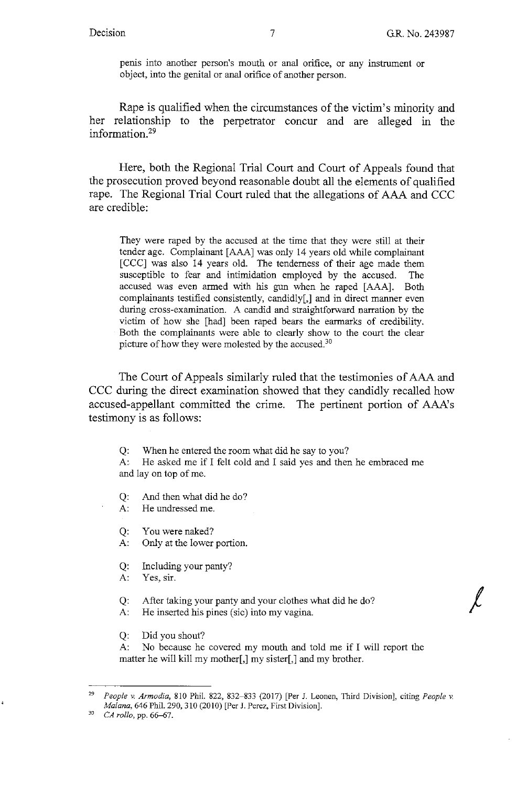*I* 

penis into another person's mouth or anal orifice, or any instrument or object, into the genital or anal orifice of another person.

Rape is qualified when the circumstances of the victim's minority and her relationship to the perpetrator concur and are alleged in the information.29

Here, both the Regional Trial Court and Court of Appeals found that the prosecution proved beyond reasonable doubt all the elements of qualified rape. The Regional Trial Court ruled that the allegations of AAA and CCC are credible:

They were raped by the accused at the time that they were still at their tender age. Complainant [AAA] was only 14 years old while complainant [CCC] was also 14 years old. The tenderness of their age made them susceptible to fear and intimidation employed by the accused. The accused was even armed with his gun when he raped [AAA]. Both complainants testified consistently, candidly[,] and in direct manner even during cross-examination. A candid and straightforward narration by the victim of how she [had] been raped bears the earmarks of credibility. Both the complainants were able to clearly show to the court the clear picture of how they were molested by the accused.<sup>30</sup>

The Court of Appeals similarly ruled that the testimonies of AAA and CCC during the direct examination showed that they candidly recalled how accused-appellant committed the crime. The pertinent portion of AAA's testimony is as follows:

Q: When he entered the room what did he say to you?

A: He asked me if I felt cold and I said yes and then he embraced me and lay on top of me.

Q: And then what did he do?

A: He undressed me.

Q: You were naked?

A: Only at the lower portion.

Q: Including your panty?

A: Yes, sir.

Q: After taking your panty and your clothes what did he do?

A: He inserted his pines (sic) into my vagina.

Q: Did you shout?

A: No because he covered my mouth and told me if I will report the matter he will kill my mother[,] my sister[,] and my brother.

<sup>29</sup>*People v. Armodia,* 810 Phil. 822, 832-833 (2017) [Per J. Leanen, Third Division], citing *People v. Malana,* 646 Phil. 290,310 (2010) [Per J. Perez, First Division].

<sup>3</sup> *CA rollo, pp.* 66–67.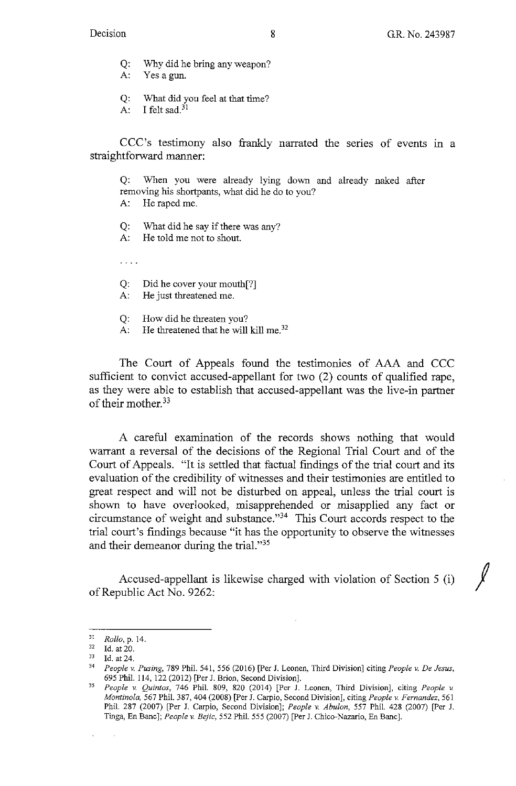- Q: Why did he bring any weapon?
- A: Yesagun.
- Q: What did you feel at that time?
- A: I felt sad. $31$

CCC's testimony also frankly narrated the series of events in a straightforward manner:

Q: When you were already lying down and already naked after removing his shortpants, what did he do to you?

- A: He raped me.
- Q: What did he say if there was any?
- A: He told me not to shout.

 $\mathbf{1}$  and  $\mathbf{1}$ 

- Q: Did he cover your mouth[?]
- A: He just threatened me.
- Q: How did he threaten you?
- A: He threatened that he will kill me.<sup>32</sup>

The Court of Appeals found the testimonies of AAA and CCC sufficient to convict accused-appellant for two (2) counts of qualified rape, as they were able to establish that accused-appellant was the live-in partner of their mother. <sup>33</sup>

A careful examination of the records shows nothing that would warrant a reversal of the decisions of the Regional Trial Court and of the Court of Appeals. "It is settled that factual findings of the trial court and its evaluation of the credibility of witnesses and their testimonies are entitled to great respect and will not be disturbed on appeal, unless the trial court is shown to have overlooked, misapprehended or misapplied any fact or circumstance of weight and substance."34 This Court accords respect to the trial court's findings because "it has the opportunity to observe the witnesses and their demeanor during the trial."35

Accused-appellant is likewise charged with violation of Section 5 (i) of Republic Act No. 9262:

 $\ddot{\phantom{a}}$ 

<sup>&</sup>lt;sup>31</sup> *Rollo*, p. 14.<br><sup>32</sup> Id. at 20.<br><sup>33</sup> Id. at 24.

<sup>33</sup>Id. at 24. 34 *People v. Fusing.* 789 Phil. 541, 556 (2016) [Per J. Leanen, Third Division] citing *People v. De Jesus,*  695 Phil. I 14, 122 (2012) [Per J. Brion, Second Division].

*<sup>35</sup> People* v. *Quintas,* 746 Phil. 809, 820 (2014) [Per J. Leanen, Third Division], citing *People v Montino/a,* 567 Phil. 387,404 (2008) [Per J. Carpio, Second Division], citing *People v. Fernandez,* 561 Phil. 287 (2007) [Per J. Carpio, Second Division]; *People v. Abu/on,* 557 Phil. 428 (2007) [Per J. Tinga, En Banc]; *People v. Bejic,* 552 Phil. 555 (2007) [Per J. Chico-Nazario, En Banc].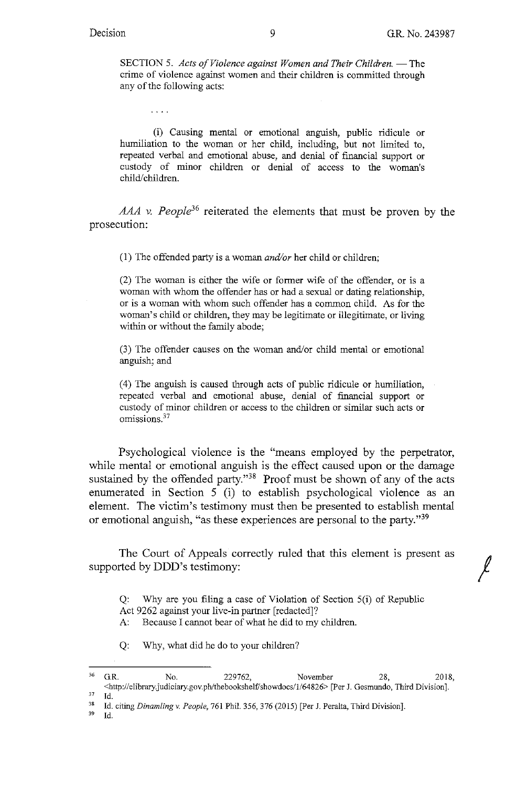$\sim$  . . . .

SECTION 5. *Acts of Violence against Women and Their Children.* - The crime of violence against women and their children is committed through any of the following acts:

(i) Causing mental or emotional anguish, public ridicule or humiliation to the woman or her child, including, but not limited to, repeated verbal and emotional abuse, and denial of financial support or custody of minor children or denial of access to the woman's child/children.

AAA v. People<sup>36</sup> reiterated the elements that must be proven by the prosecution:

(1) The offended party is a woman *and/or* her child or children;

(2) The woman is either the wife or former wife of the offender, or is a woman with whom the offender has or had a sexual or dating relationship, or is a woman with whom such offender has a common child. As for the woman's child or children, they may be legitimate or illegitimate, or living within or without the family abode;

(3) The offender causes on the woman and/or child mental or emotional anguish; and

( 4) The anguish is caused through acts of public ridicule or humiliation, repeated verbal and emotional abuse, denial of financial support or custody of minor children or access to the children or similar such acts or omissions.<sup>37</sup>

Psychological violence is the "means employed by the perpetrator, while mental or emotional anguish is the effect caused upon or the damage sustained by the offended party."38 Proof must be shown of any of the acts enumerated in Section 5 (i) to establish psychological violence as an element. The victim's testimony must then be presented to establish mental or emotional anguish, "as these experiences are personal to the party."39

The Court of Appeals correctly ruled that this element is present as supported by DDD's testimony:

Q: Why are you filing a case of Violation of Section 5(i) of Republic Act 9262 against your live-in partner [redacted]?

A: Because I cannot bear of what he did to my children.

Q: Why, what did he do to your children?

'' Id.

<sup>&</sup>lt;sup>36</sup> G.R. No. 229762, November 28, 2018, <bttp://elibrary.judiciary.gov.ph/thebookshel£'showdocs/l/64826> [Per J. Gesmundo, Third Division].

<sup>&</sup>lt;sup>37</sup> Id.<br><sup>38</sup> Id. citing *Dinamling v. People*, 761 Phil. 356, 376 (2015) [Per J. Peralta, Third Division].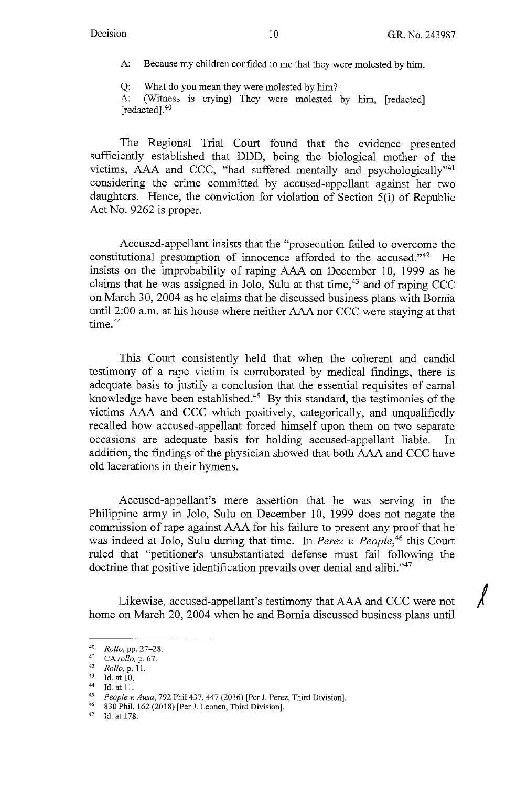*I* 

A: Because my children confided to me that they were molested by him.

Q: What do you mean they were molested by him? A: (Witness is crying) They were molested by him, [redacted] [redacted].<sup>40</sup>

The Regional Trial Court found that the evidence presented sufficiently established that DDD, being the biological mother of the victims, AAA and CCC, "had suffered mentally and psychologically"41 considering the crime committed by accused-appellant against her two daughters. Hence, the conviction for violation of Section 5(i) of Republic Act No. 9262 is proper.

Accused-appellant insists that the "prosecution failed to overcome the constitutional presumption of innocence afforded to the accused."42 He insists on the improbability of raping AAA on December 10, 1999 as he claims that he was assigned in Jolo, Sulu at that time,  $43$  and of raping CCC on March 30, 2004 as he claims that he discussed business plans with Bomia until 2:00 a.m. at his house where neither AAA nor CCC were staying at that time.<sup>44</sup>

This Court consistently held that when the coherent and candid testimony of a rape victim is corroborated by medical findings, there is adequate basis to justify a conclusion that the essential requisites of carnal knowledge have been established.<sup>45</sup> By this standard, the testimonies of the victims AAA and CCC which positively, categorically, and unqualifiedly recalled how accused-appellant forced himself upon them on two separate occasions are adequate basis for holding accused-appellant liable. In addition, the findings of the physician showed that both AAA and CCC have old lacerations in their hymens.

Accused-appellant's mere assertion that he was serving in the Philippine army in Jolo, Sulu on December 10, 1999 does not negate the commission of rape against AAA for his failure to present any proof that he was indeed at Jolo, Sulu during that time. In *Perez v. People*,<sup>46</sup> this Court ruled that "petitioner's unsubstantiated defense must fail following the doctrine that positive identification prevails over denial and alibi."47

Likewise, accused-appellant's testimony that AAA and CCC were not home on March 20, 2004 when he and Bomia discussed business plans until

<sup>40</sup>*Rollo,* pp. 27-28. 41 *CArollo,* p. 67. 42 *Rollo,* p. 11.

 $^{43}$  Id. at 10.

 $^{44}$  Id. at 11.

<sup>45</sup>*People v. Ausa,* 792 Phil 437,447 (2016) [Per J. Perez, Third Division]. 46 830 Phil. 162 (2018) [Per J. Leanen, Third Division].

 $47$  Id. at 178.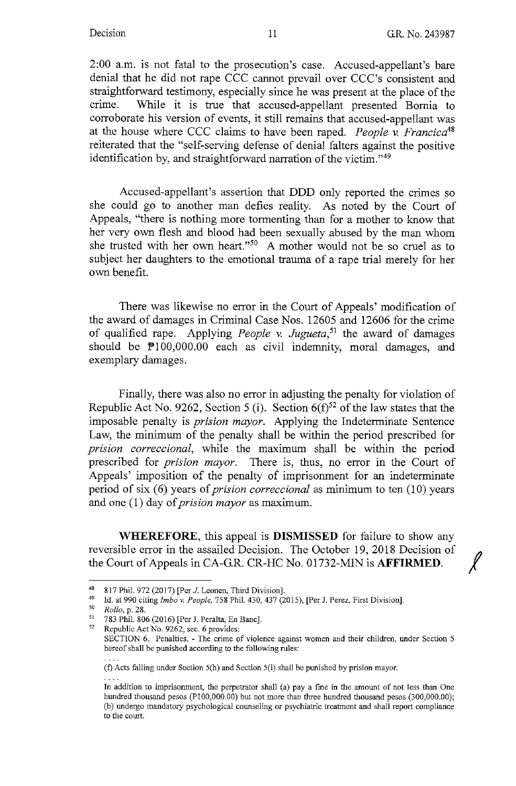2:00 a.m. is not fatal to the prosecution's case. Accused-appellant's bare denial that he did not rape CCC cannot prevail over CCC's consistent and straightforward testimony, especially since he was present at the place of the crime. While it is true that accused-appellant presented Bomia to corroborate his version of events, it still remains that accused-appellant was at the house where CCC claims to have been raped. *People* v. *Francica48*  reiterated that the "self-serving defense of denial falters against the positive identification by, and straightforward narration of the victim."49

Accused-appellant's assertion that DDD only reported the crimes so she could go to another man defies reality. As noted by the Court of Appeals, "there is nothing more tormenting than for a mother to know that her very own flesh and blood had been sexually abused by the man whom she trusted with her own heart. "50 A mother would not be so cruel as to subject her daughters to the emotional trauma of a rape trial merely for her own benefit.

There was likewise no error in the Court of Appeals' modification of the award of damages in Criminal Case Nos. 12605 and 12606 for the crime of qualified rape. Applying *People* v. *Jugueta, <sup>51</sup>*the award of damages should be  $\mathbb{P}100,000.00$  each as civil indemnity, moral damages, and exemplary damages.

Finally, there was also no error in adjusting the penalty for violation of Republic Act No. 9262, Section 5 (i). Section  $6(f)^{52}$  of the law states that the imposable penalty is *prision mayor.* Applying the Indeterminate Sentence Law, the minimum of the penalty shall be within the period prescribed for *prision correccional,* while the maximum shall be within the period prescribed for *prision mayor.* There is, thus, no error in the Court of Appeals' imposition of the penalty of imprisonment for an indeterminate period of six (6) years of *prision correccional* as minimum to ten (10) years and one (1) day of *prision mayor* as maximum.

**WHEREFORE,** this appeal is **DISMISSED** for failure to show any reversible error in the assailed Decision. The October 19, 2018 Decision of the Court of Appeals in CA-G.R. CR-HC No. 01732-MIN is **AFFIRMED.** 

<sup>48 817</sup> Phil. 972 (2017) [Per J. Leonen, Third Division].<br>
14 14 990 citing *Imbo v. People*, 758 Phil. 430, 437 (2015), [Per J. Perez, First Division].<br>
<sup>50</sup> *Rollo*, p. 28.<br>
<sup>51</sup> 783 Phil. 806 (2016) [Per J. Peralta, En

SECTION 6. Penalties. - The crime of violence against women and their children, under Section 5 hereof shall be punished according to the following rules:

<sup>(</sup>f) Acts fulling under Section 5(h) and Section 5(i) shall be punished by prision mayor.

In addition to imprisonment, the perpetrator shall (a) pay a fine in the amount of not less than One hundred thousand pesos (PI00,000.00) but not more than three hundred thousand pesos (300,000.00); (b) undergo mandatory psychological counseling or psychiatric treatment and shall report compliance to the court.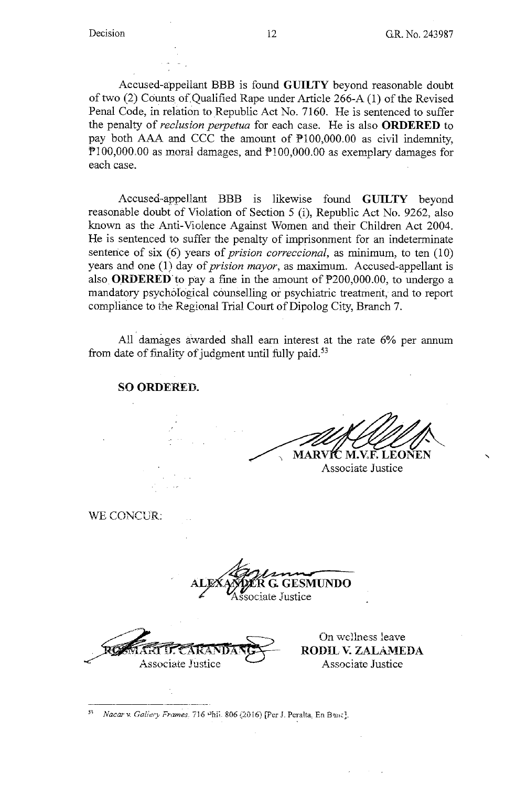Accused-appellant BBB is found **GUILTY** beyond reasonable doubt of two (2) Counts of Qualified Rape under Article 266-A (1) of the Revised Penal Code, in relation to Republic Act No. 7160. He is sentenced to suffer the penalty of *reclusion perpetua* for each case. He is also **ORDERED** to pay both AAA and CCC the amount of Pl00,000.00 as civil indemnity, P100,000.00 as moral damages, and P100,000.00 as exemplary damages for each case.

Accused-appellan.t BBB is likewise found **GlTILTY** beyond reasonable doubt of Vioiation of Section 5 (i), Republic Act No. 9262, also known as the Anti-Violence Against Women and their Children Act 2004. He is sentenced to suffer the penalty of imprisonment for an indeterminate sentence of six (6) years of *prision correccional*, as minimum, to ten (10) years and one (1) day of *prision mayor*, as maximum. Accused-appellant is also **ORDERED** to pay a fine in the amount of  $P200,000.00$ , to undergo a mandatory psychological counselling or psychiatric treatment, and to report compliance to the Regional Trial Court of Dipolog City, Branch 7.

All damages a'warded shall earn interest at the rate 6% per annum from date of finality of judgment until fully paid.<sup>53</sup>

**SO ORDERED.** 

**MARVIC M.V.F. LEONEN** 

Associate Justice

WE CONCUR:

ALEXATOR G. GESMUNDO **ER G. GESMUNDO**<br>ociate Justice

Associate Justice

On wellness leave **RODIL V. ZALAMEDA** Associate Justice

--------------- Nacar v. Gallery Frames<sub>.</sub> 716 Phii. 806 (2016) [Per J. Peralta, En Banc].